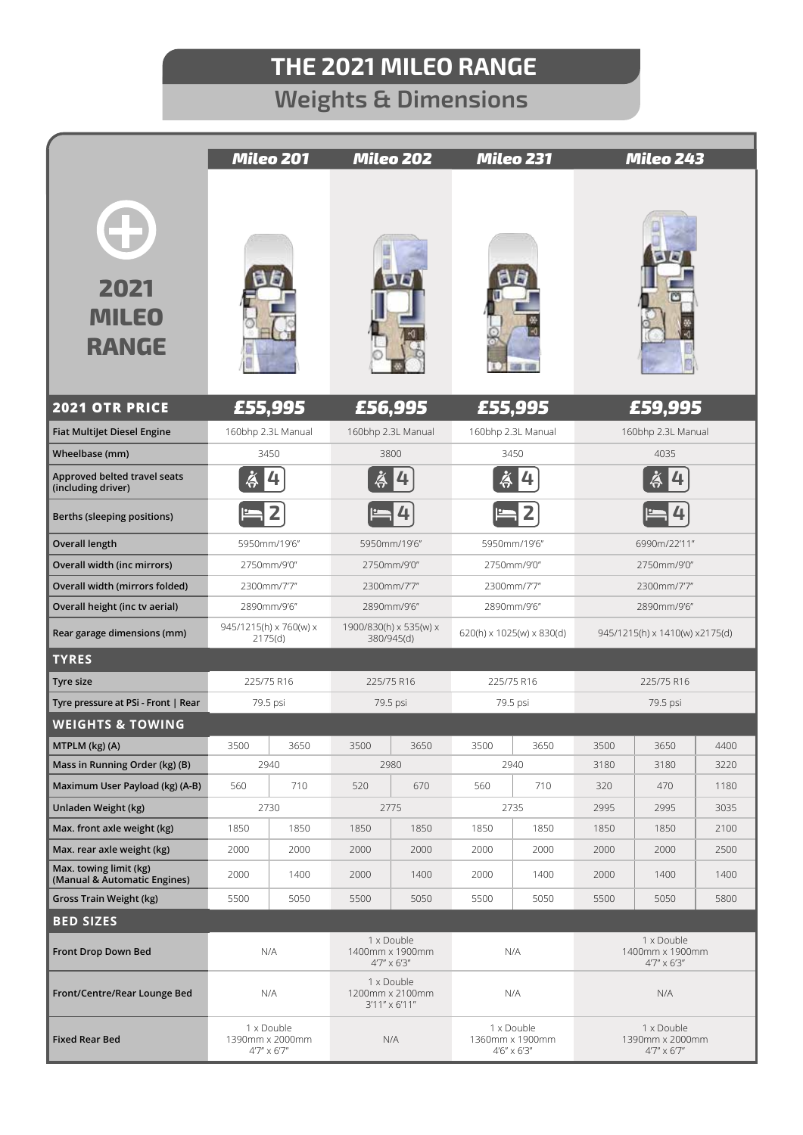## **THE 2021 MILEO RANGE**

## **Weights & Dimensions**

|                                                                   | <b>Mileo 201</b>                                      |              | Mileo 202                                             |              | <b>Mileo 231</b>                                      |              | Mileo 243                                             |              |              |
|-------------------------------------------------------------------|-------------------------------------------------------|--------------|-------------------------------------------------------|--------------|-------------------------------------------------------|--------------|-------------------------------------------------------|--------------|--------------|
| 47<br>2021<br><b>MILEO</b><br><b>RANGE</b>                        |                                                       |              |                                                       |              |                                                       |              |                                                       |              |              |
| <b>2021 OTR PRICE</b>                                             | £55,995                                               |              | £56,995                                               |              | £55,995                                               |              | £59,995                                               |              |              |
| <b>Fiat Multijet Diesel Engine</b>                                | 160bhp 2.3L Manual                                    |              | 160bhp 2.3L Manual                                    |              | 160bhp 2.3L Manual                                    |              | 160bhp 2.3L Manual                                    |              |              |
| Wheelbase (mm)                                                    | 3450                                                  |              | 3800                                                  |              | 3450                                                  |              | 4035                                                  |              |              |
| Approved belted travel seats<br>(including driver)                |                                                       |              |                                                       |              |                                                       |              |                                                       |              |              |
| Berths (sleeping positions)                                       |                                                       |              |                                                       |              |                                                       |              |                                                       |              |              |
| <b>Overall length</b>                                             | 5950mm/19'6"                                          |              | 5950mm/19'6"                                          |              | 5950mm/19'6"                                          |              | 6990m/22'11"                                          |              |              |
| Overall width (inc mirrors)                                       | 2750mm/9'0"                                           |              | 2750mm/9'0"                                           |              | 2750mm/9'0"                                           |              | 2750mm/9'0"                                           |              |              |
| Overall width (mirrors folded)                                    | 2300mm/7'7"                                           |              | 2300mm/7'7"                                           |              | 2300mm/7'7"                                           |              | 2300mm/7'7"                                           |              |              |
| Overall height (inc tv aerial)                                    | 2890mm/9'6"                                           |              | 2890mm/9'6"                                           |              | 2890mm/9'6"                                           |              | 2890mm/9'6"                                           |              |              |
| Rear garage dimensions (mm)                                       | 945/1215(h) x 760(w) x<br>2175(d)                     |              | 1900/830(h) x 535(w) x<br>380/945(d)                  |              | 620(h) x 1025(w) x 830(d)                             |              | 945/1215(h) x 1410(w) x2175(d)                        |              |              |
| <b>TYRES</b>                                                      |                                                       |              |                                                       |              |                                                       |              |                                                       |              |              |
| Tyre size                                                         | 225/75 R16                                            |              | 225/75 R16                                            |              | 225/75 R16                                            |              | 225/75 R16                                            |              |              |
| Tyre pressure at PSi - Front   Rear                               | 79.5 psi                                              |              | 79.5 psi                                              |              | 79.5 psi                                              |              | 79.5 psi                                              |              |              |
| <b>WEIGHTS &amp; TOWING</b>                                       |                                                       |              |                                                       |              |                                                       |              |                                                       |              |              |
| MTPLM (kg) (A)                                                    | 3500                                                  | 3650<br>2940 | 3500                                                  | 3650<br>2980 | 3500                                                  | 3650<br>2940 | 3500<br>3180                                          | 3650<br>3180 | 4400<br>3220 |
| Mass in Running Order (kg) (B)<br>Maximum User Payload (kg) (A-B) | 560                                                   | 710          | 520                                                   | 670          | 560                                                   | 710          | 320                                                   | 470          | 1180         |
| Unladen Weight (kg)                                               |                                                       | 2730         | 2775                                                  |              | 2735                                                  |              | 2995                                                  | 2995         | 3035         |
| Max. front axle weight (kg)                                       | 1850                                                  | 1850         | 1850                                                  | 1850         | 1850                                                  | 1850         | 1850                                                  | 1850         | 2100         |
| Max. rear axle weight (kg)                                        | 2000                                                  | 2000         | 2000                                                  | 2000         | 2000                                                  | 2000         | 2000                                                  | 2000         | 2500         |
| Max. towing limit (kg)<br>(Manual & Automatic Engines)            | 2000                                                  | 1400         | 2000                                                  | 1400         | 2000                                                  | 1400         | 2000                                                  | 1400         | 1400         |
| Gross Train Weight (kg)                                           | 5500                                                  | 5050         | 5500                                                  | 5050         | 5500                                                  | 5050         | 5500                                                  | 5050         | 5800         |
| <b>BED SIZES</b>                                                  |                                                       |              |                                                       |              |                                                       |              |                                                       |              |              |
| Front Drop Down Bed                                               | N/A                                                   |              | 1 x Double<br>1400mm x 1900mm<br>$4'7'' \times 6'3''$ |              | N/A                                                   |              | 1 x Double<br>1400mm x 1900mm<br>4'7" x 6'3"          |              |              |
| Front/Centre/Rear Lounge Bed                                      | N/A                                                   |              | 1 x Double<br>1200mm x 2100mm<br>3'11" x 6'11"        |              | N/A                                                   |              | N/A                                                   |              |              |
| <b>Fixed Rear Bed</b>                                             | 1 x Double<br>1390mm x 2000mm<br>$4'7'' \times 6'7''$ |              | N/A                                                   |              | 1 x Double<br>1360mm x 1900mm<br>$4'6'' \times 6'3''$ |              | 1 x Double<br>1390mm x 2000mm<br>$4'7'' \times 6'7''$ |              |              |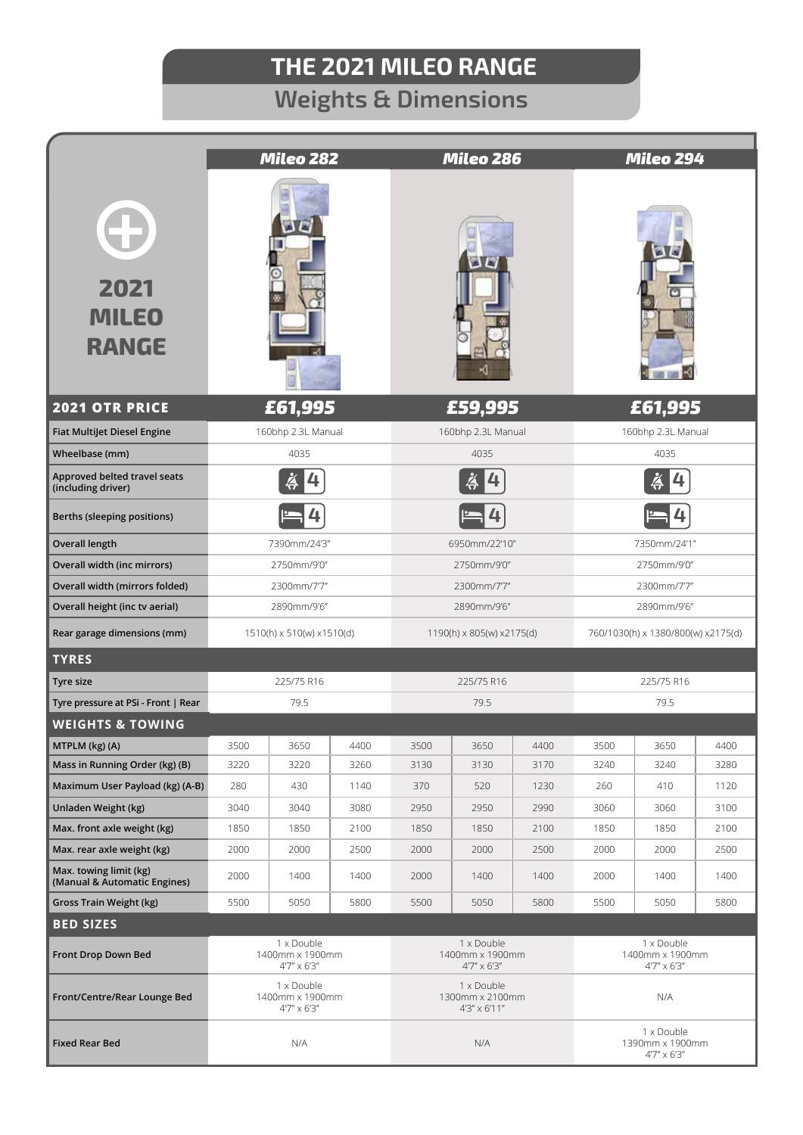## **THE 2021 MILEO RANGE**

## **Weights & Dimensions**

|                                                           | Mileo 282                                             |              |              | Mileo 286                                     |              |              | Mileo 294                                             |              |              |
|-----------------------------------------------------------|-------------------------------------------------------|--------------|--------------|-----------------------------------------------|--------------|--------------|-------------------------------------------------------|--------------|--------------|
| 2021<br><b>MILEO</b><br><b>RANGE</b>                      |                                                       |              |              |                                               |              |              |                                                       |              |              |
| <b>2021 OTR PRICE</b>                                     | £61,995                                               |              |              |                                               | £59,995      |              | £61,995                                               |              |              |
| <b>Fiat Multijet Diesel Engine</b>                        | 160bhp 2.3L Manual                                    |              |              | 160bhp 2.3L Manual                            |              |              | 160bhp 2.3L Manual                                    |              |              |
| Wheelbase (mm)                                            | 4035                                                  |              |              | 4035                                          |              |              | 4035                                                  |              |              |
| Approved belted travel seats<br>(including driver)        | ä<br>4                                                |              |              | ä<br>4                                        |              |              |                                                       |              |              |
| Berths (sleeping positions)                               |                                                       |              |              |                                               |              |              |                                                       |              |              |
| <b>Overall length</b>                                     | 7390mm/24'3"                                          |              |              | 6950mm/22'10"                                 |              |              | 7350mm/24'1"                                          |              |              |
| Overall width (inc mirrors)                               | 2750mm/9'0"                                           |              |              | 2750mm/9'0"                                   |              |              | 2750mm/9'0"                                           |              |              |
| Overall width (mirrors folded)                            | 2300mm/7'7"                                           |              |              | 2300mm/7'7"                                   |              |              | 2300mm/7'7"                                           |              |              |
| Overall height (inc tv aerial)                            | 2890mm/9'6"                                           |              |              | 2890mm/9'6"                                   |              |              | 2890mm/9'6"                                           |              |              |
| Rear garage dimensions (mm)                               | 1510(h) x 510(w) x1510(d)                             |              |              | 1190(h) x 805(w) x2175(d)                     |              |              | 760/1030(h) x 1380/800(w) x2175(d)                    |              |              |
| <b>TYRES</b>                                              |                                                       |              |              |                                               |              |              |                                                       |              |              |
| Tyre size                                                 | 225/75 R16                                            |              |              | 225/75 R16                                    |              |              | 225/75 R16                                            |              |              |
| Tyre pressure at PSi - Front   Rear                       | 79.5                                                  |              |              | 79.5                                          |              |              | 79.5                                                  |              |              |
| <b>WEIGHTS &amp; TOWING</b>                               |                                                       |              |              |                                               |              |              |                                                       |              |              |
| MTPLM (kg) (A)                                            | 3500                                                  | 3650         | 4400         | 3500                                          | 3650         | 4400         | 3500                                                  | 3650         | 4400         |
| Mass in Running Order (kg) (B)                            | 3220                                                  | 3220         | 3260         | 3130                                          | 3130         | 3170         | 3240                                                  | 3240         | 3280         |
| Maximum User Payload (kg) (A-B)                           | 280                                                   | 430          | 1140         | 370                                           | 520          | 1230         | 260                                                   | 410          | 1120         |
| Unladen Weight (kg)                                       | 3040                                                  | 3040         | 3080         | 2950                                          | 2950         | 2990         | 3060                                                  | 3060         | 3100         |
| Max. front axle weight (kg)<br>Max. rear axle weight (kg) | 1850<br>2000                                          | 1850<br>2000 | 2100<br>2500 | 1850<br>2000                                  | 1850<br>2000 | 2100<br>2500 | 1850<br>2000                                          | 1850<br>2000 | 2100<br>2500 |
| Max. towing limit (kg)<br>(Manual & Automatic Engines)    | 2000                                                  | 1400         | 1400         | 2000                                          | 1400         | 1400         | 2000                                                  | 1400         | 1400         |
| Gross Train Weight (kg)                                   | 5500                                                  | 5050         | 5800         | 5500                                          | 5050         | 5800         | 5500                                                  | 5050         | 5800         |
| <b>BED SIZES</b>                                          |                                                       |              |              |                                               |              |              |                                                       |              |              |
| Front Drop Down Bed                                       | 1 x Double<br>1400mm x 1900mm<br>$4'7'' \times 6'3''$ |              |              | 1 x Double<br>1400mm x 1900mm<br>4'7" x 6'3"  |              |              | 1 x Double<br>1400mm x 1900mm<br>$4'7'' \times 6'3''$ |              |              |
| Front/Centre/Rear Lounge Bed                              | 1 x Double<br>1400mm x 1900mm<br>$4'7'' \times 6'3''$ |              |              | 1 x Double<br>1300mm x 2100mm<br>4'3" x 6'11" |              |              | N/A                                                   |              |              |
| <b>Fixed Rear Bed</b>                                     | N/A                                                   |              |              | N/A                                           |              |              | 1 x Double<br>1390mm x 1900mm<br>$4'7'' \times 6'3''$ |              |              |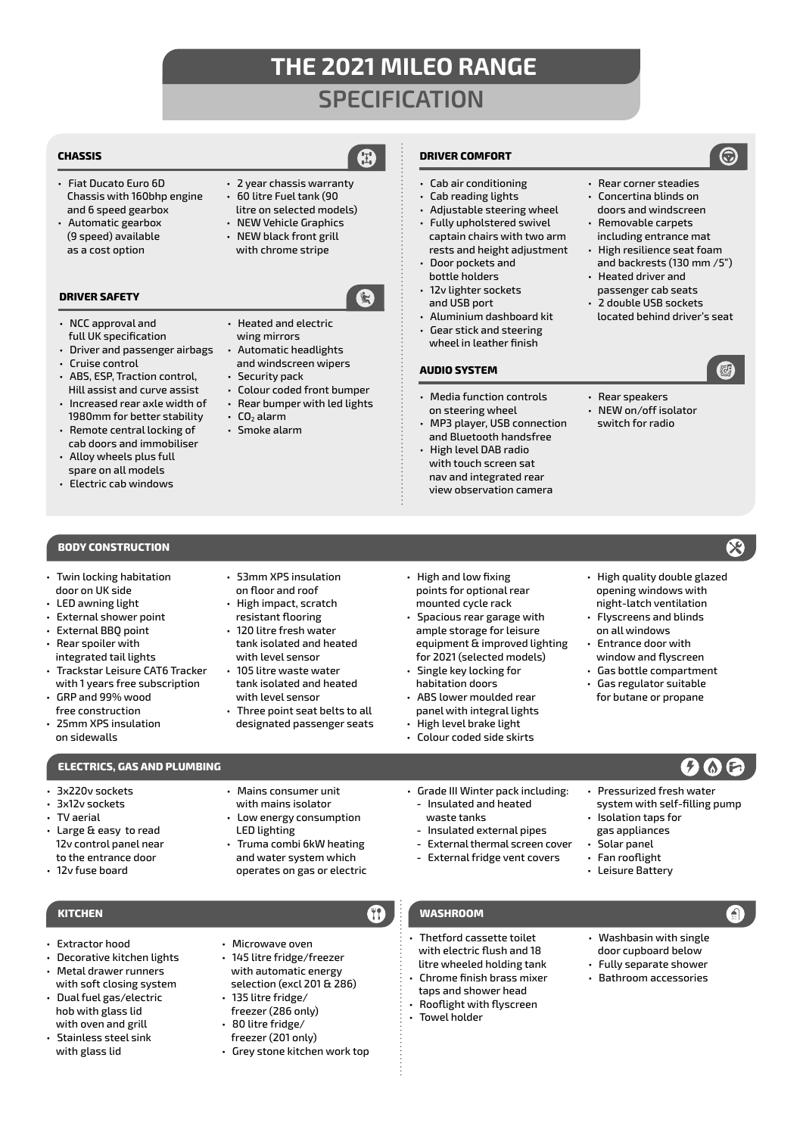## **THE 2021 MILEO RANGE SPECIFICATION**

### **CHASSIS**

- Fiat Ducato Euro 6D Chassis with 160bhp engine and 6 speed gearbox
- Automatic gearbox (9 speed) available as a cost option

### **DRIVER SAFETY**

- NCC approval and full UK specification
- Driver and passenger airbags • Cruise control
- ABS, ESP, Traction control, Hill assist and curve assist
- Increased rear axle width of 1980mm for better stability
- Remote central locking of cab doors and immobiliser
- Alloy wheels plus full spare on all models
- Electric cab windows

### **BODY CONSTRUCTION**

- Twin locking habitation door on UK side
- LED awning light
- External shower point
- External BBQ point • Rear spoiler with
- integrated tail lights
- Trackstar Leisure CAT6 Tracker with 1 years free subscription
- GRP and 99% wood free construction
- 25mm XPS insulation on sidewalls

### **ELECTRICS, GAS AND PLUMBING**

- 3x220v sockets
- 3x12v sockets
- TV aerial
- Large & easy to read 12v control panel near to the entrance door
- 12v fuse board

• Extractor hood

• Decorative kitchen lights • Metal drawer runners with soft closing system • Dual fuel gas/electric hob with glass lid with oven and grill • Stainless steel sink with glass lid

- 53mm XPS insulation on floor and roof
	- High impact, scratch resistant flooring
	- 120 litre fresh water tank isolated and heated with level sensor
	- 105 litre waste water tank isolated and heated with level sensor
	- Three point seat belts to all designated passenger seats
- High and low fixing points for optional rear mounted cycle rack
- Spacious rear garage with ample storage for leisure equipment & improved lighting for 2021 (selected models)
- Single key locking for habitation doors
- High level brake light
- Colour coded side skirts
- Grade III Winter pack including:
- **-** Insulated and heated waste tanks
- **-** Insulated external pipes
- **-** External thermal screen cover
- **-** External fridge vent covers
- 

### **KITCHEN WASHROOM**

- Thetford cassette toilet with electric flush and 18 litre wheeled holding tank
- Chrome finish brass mixer taps and shower head
- Rooflight with flyscreen • Towel holder
- Washbasin with single

(ඩ)

- door cupboard below • Fully separate shower
- Bathroom accessories
- Rear corner steadies • Concertina blinds on
- doors and windscreen • Removable carpets
- including entrance mat • High resilience seat foam
- and backrests (130 mm /5") • Heated driver and
- passenger cab seats • 2 double USB sockets
- located behind driver's seat
- Rear speakers
- NEW on/off isolator switch for radio
- - High quality double glazed opening windows with night-latch ventilation
	- Flyscreens and blinds on all windows
	- Entrance door with window and flyscreen
	- Gas bottle compartment
	- Gas regulator suitable for butane or propane

• Pressurized fresh water system with self-filling pump

• Isolation taps for gas appliances • Solar panel • Fan rooflight • Leisure Battery

- - ABS lower moulded rear panel with integral lights
	-

- Mains consumer unit with mains isolator • Low energy consumption
- LED lighting • Truma combi 6kW heating

• Microwave oven • 145 litre fridge/freezer with automatic energy selection (excl 201 & 286)

• 135 litre fridge/ freezer (286 only) • 80 litre fridge/ freezer (201 only) • Grey stone kitchen work top

and water system which operates on gas or electric

- wing mirrors
- Colour coded front bumper
- Rear bumper with led lights
- $\cdot$  CO<sub>2</sub> alarm
- Smoke alarm

- litre on selected models) • NEW Vehicle Graphics
- NEW black front grill

• 60 litre Fuel tank (90

with chrome stripe

## • 2 year chassis warranty

• Heated and electric

### • Automatic headlights and windscreen wipers

- Security pack
	-
	-
- 
- 
- 
- 
- Adjustable steering wheel • Fully upholstered swivel captain chairs with two arm rests and height adjustment
- Door pockets and bottle holders

**DRIVER COMFORT**

• Cab air conditioning • Cab reading lights

12<sub>v</sub> lighter sockets and USB port

**AUDIO SYSTEM**

- Aluminium dashboard kit
- Gear stick and steering wheel in leather finish

• Media function controls on steering wheel

• MP3 player, USB connection and Bluetooth handsfree • High level DAB radio with touch screen sat nav and integrated rear view observation camera